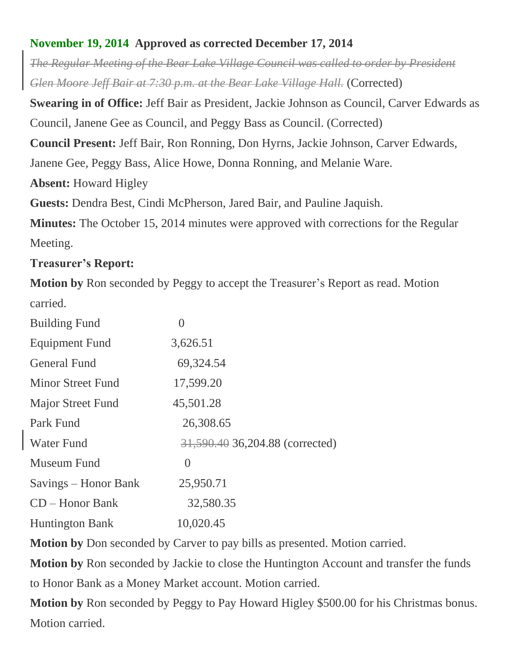## **November 19, 2014 Approved as corrected December 17, 2014**

*The Regular Meeting of the Bear Lake Village Council was called to order by President Glen Moore Jeff Bair at 7:30 p.m. at the Bear Lake Village Hall.* (Corrected)

**Swearing in of Office:** Jeff Bair as President, Jackie Johnson as Council, Carver Edwards as Council, Janene Gee as Council, and Peggy Bass as Council. (Corrected)

**Council Present:** Jeff Bair, Ron Ronning, Don Hyrns, Jackie Johnson, Carver Edwards,

Janene Gee, Peggy Bass, Alice Howe, Donna Ronning, and Melanie Ware.

**Absent:** Howard Higley

**Guests:** Dendra Best, Cindi McPherson, Jared Bair, and Pauline Jaquish.

**Minutes:** The October 15, 2014 minutes were approved with corrections for the Regular Meeting.

# **Treasurer's Report:**

**Motion by** Ron seconded by Peggy to accept the Treasurer's Report as read. Motion carried.

| <b>Building Fund</b>     | 0                               |
|--------------------------|---------------------------------|
| <b>Equipment Fund</b>    | 3,626.51                        |
| <b>General Fund</b>      | 69,324.54                       |
| <b>Minor Street Fund</b> | 17,599.20                       |
| <b>Major Street Fund</b> | 45,501.28                       |
| Park Fund                | 26,308.65                       |
| <b>Water Fund</b>        | 31,590.40 36,204.88 (corrected) |
| Museum Fund              | $\theta$                        |
| Savings – Honor Bank     | 25,950.71                       |
| $CD - Honor Bank$        | 32,580.35                       |
| <b>Huntington Bank</b>   | 10,020.45                       |

**Motion by** Don seconded by Carver to pay bills as presented. Motion carried.

**Motion by** Ron seconded by Jackie to close the Huntington Account and transfer the funds to Honor Bank as a Money Market account. Motion carried.

**Motion by** Ron seconded by Peggy to Pay Howard Higley \$500.00 for his Christmas bonus. Motion carried.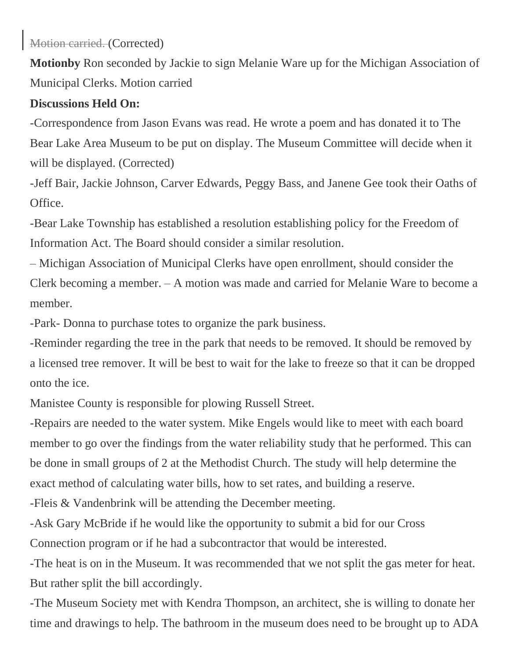Motion carried. (Corrected)

**Motionby** Ron seconded by Jackie to sign Melanie Ware up for the Michigan Association of Municipal Clerks. Motion carried

#### **Discussions Held On:**

-Correspondence from Jason Evans was read. He wrote a poem and has donated it to The Bear Lake Area Museum to be put on display. The Museum Committee will decide when it will be displayed. (Corrected)

-Jeff Bair, Jackie Johnson, Carver Edwards, Peggy Bass, and Janene Gee took their Oaths of Office.

-Bear Lake Township has established a resolution establishing policy for the Freedom of Information Act. The Board should consider a similar resolution.

– Michigan Association of Municipal Clerks have open enrollment, should consider the Clerk becoming a member. – A motion was made and carried for Melanie Ware to become a member.

-Park- Donna to purchase totes to organize the park business.

-Reminder regarding the tree in the park that needs to be removed. It should be removed by a licensed tree remover. It will be best to wait for the lake to freeze so that it can be dropped onto the ice.

Manistee County is responsible for plowing Russell Street.

-Repairs are needed to the water system. Mike Engels would like to meet with each board member to go over the findings from the water reliability study that he performed. This can be done in small groups of 2 at the Methodist Church. The study will help determine the exact method of calculating water bills, how to set rates, and building a reserve.

-Fleis & Vandenbrink will be attending the December meeting.

-Ask Gary McBride if he would like the opportunity to submit a bid for our Cross Connection program or if he had a subcontractor that would be interested.

-The heat is on in the Museum. It was recommended that we not split the gas meter for heat. But rather split the bill accordingly.

-The Museum Society met with Kendra Thompson, an architect, she is willing to donate her time and drawings to help. The bathroom in the museum does need to be brought up to ADA